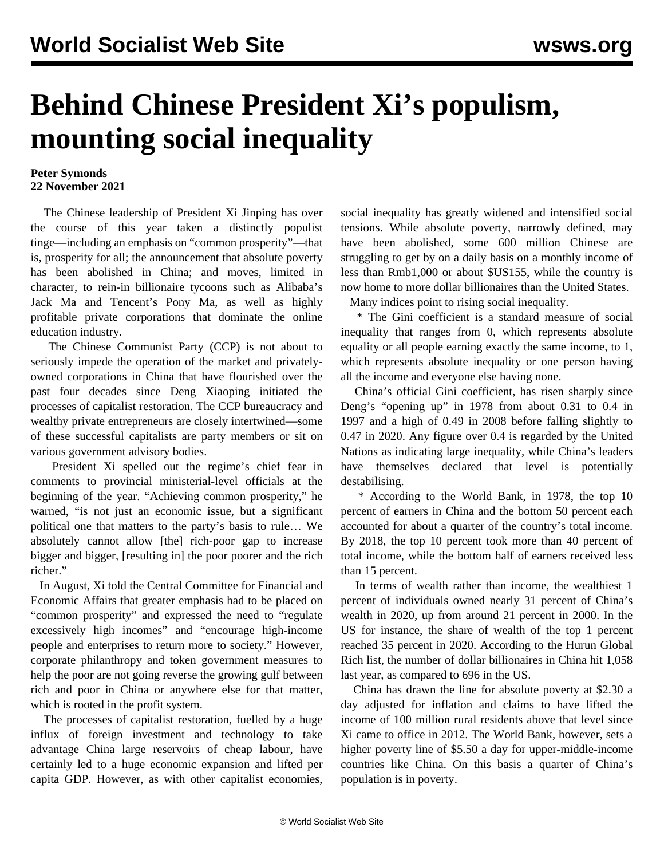## **Behind Chinese President Xi's populism, mounting social inequality**

## **Peter Symonds 22 November 2021**

 The Chinese leadership of President Xi Jinping has over the course of this year taken a distinctly populist tinge—including an emphasis on "common prosperity"—that is, prosperity for all; the announcement that absolute poverty has been abolished in China; and moves, limited in character, to rein-in billionaire tycoons such as Alibaba's Jack Ma and Tencent's Pony Ma, as well as highly profitable private corporations that dominate the online education industry.

 The Chinese Communist Party (CCP) is not about to seriously impede the operation of the market and privatelyowned corporations in China that have flourished over the past four decades since Deng Xiaoping initiated the processes of capitalist restoration. The CCP bureaucracy and wealthy private entrepreneurs are closely intertwined—some of these successful capitalists are party members or sit on various government advisory bodies.

 President Xi spelled out the regime's chief fear in comments to provincial ministerial-level officials at the beginning of the year. "Achieving common prosperity," he warned, "is not just an economic issue, but a significant political one that matters to the party's basis to rule… We absolutely cannot allow [the] rich-poor gap to increase bigger and bigger, [resulting in] the poor poorer and the rich richer"

 In August, Xi told the Central Committee for Financial and Economic Affairs that greater emphasis had to be placed on "common prosperity" and expressed the need to "regulate excessively high incomes" and "encourage high-income people and enterprises to return more to society." However, corporate philanthropy and token government measures to help the poor are not going reverse the growing gulf between rich and poor in China or anywhere else for that matter, which is rooted in the profit system.

 The processes of capitalist restoration, fuelled by a huge influx of foreign investment and technology to take advantage China large reservoirs of cheap labour, have certainly led to a huge economic expansion and lifted per capita GDP. However, as with other capitalist economies, social inequality has greatly widened and intensified social tensions. While absolute poverty, narrowly defined, may have been abolished, some 600 million Chinese are struggling to get by on a daily basis on a monthly income of less than Rmb1,000 or about \$US155, while the country is now home to more dollar billionaires than the United States.

Many indices point to rising social inequality.

 \* The Gini coefficient is a standard measure of social inequality that ranges from 0, which represents absolute equality or all people earning exactly the same income, to 1, which represents absolute inequality or one person having all the income and everyone else having none.

 China's official Gini coefficient, has risen sharply since Deng's "opening up" in 1978 from about 0.31 to 0.4 in 1997 and a high of 0.49 in 2008 before falling slightly to 0.47 in 2020. Any figure over 0.4 is regarded by the United Nations as indicating large inequality, while China's leaders have themselves declared that level is potentially destabilising.

 \* According to the World Bank, in 1978, the top 10 percent of earners in China and the bottom 50 percent each accounted for about a quarter of the country's total income. By 2018, the top 10 percent took more than 40 percent of total income, while the bottom half of earners received less than 15 percent.

 In terms of wealth rather than income, the wealthiest 1 percent of individuals owned nearly 31 percent of China's wealth in 2020, up from around 21 percent in 2000. In the US for instance, the share of wealth of the top 1 percent reached 35 percent in 2020. According to the Hurun Global Rich list, the number of dollar billionaires in China hit 1,058 last year, as compared to 696 in the US.

 China has drawn the line for absolute poverty at \$2.30 a day adjusted for inflation and claims to have lifted the income of 100 million rural residents above that level since Xi came to office in 2012. The World Bank, however, sets a higher poverty line of \$5.50 a day for upper-middle-income countries like China. On this basis a quarter of China's population is in poverty.